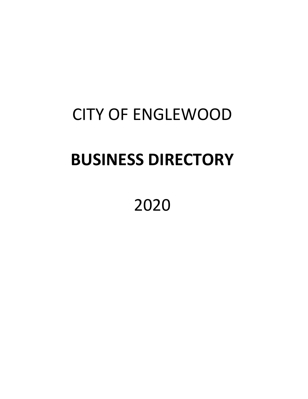# CITY OF ENGLEWOOD

## **BUSINESS DIRECTORY**

2020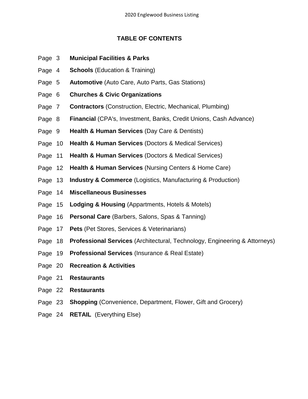## **TABLE OF CONTENTS**

- Page 3 **Municipal Facilities & Parks**
- Page 4 **Schools** (Education & Training)
- Page 5 **Automotive** (Auto Care, Auto Parts, Gas Stations)
- Page 6 **Churches & Civic Organizations**
- Page 7 **Contractors** (Construction, Electric, Mechanical, Plumbing)
- Page 8 **Financial** (CPA's, Investment, Banks, Credit Unions, Cash Advance)
- Page 9 **Health & Human Services** (Day Care & Dentists)
- Page 10 **Health & Human Services** (Doctors & Medical Services)
- Page 11 **Health & Human Services** (Doctors & Medical Services)
- Page 12 **Health & Human Services** (Nursing Centers & Home Care)
- Page 13 **Industry & Commerce** (Logistics, Manufacturing & Production)
- Page 14 **Miscellaneous Businesses**
- Page 15 **Lodging & Housing** (Appartments, Hotels & Motels)
- Page 16 **Personal Care** (Barbers, Salons, Spas & Tanning)
- Page 17 **Pets** (Pet Stores, Services & Veterinarians)
- Page 18 **Professional Services** (Architectural, Technology, Engineering & Attorneys)
- Page 19 **Professional Services** (Insurance & Real Estate)
- Page 20 **Recreation & Activities**
- Page 21 **Restaurants**
- Page 22 **Restaurants**
- Page 23 **Shopping** (Convenience, Department, Flower, Gift and Grocery)
- Page 24 **RETAIL** (Everything Else)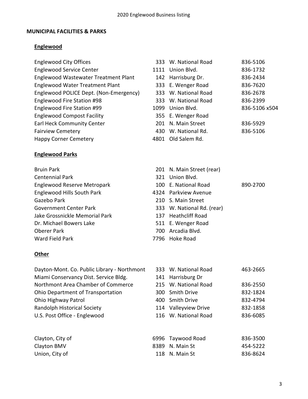## **MUNICIPAL FACILITIES & PARKS**

## **Englewood**

- Englewood City Offices
- Englewood Service Center 1111 Union Blvd. 836-1732
- Englewood Wastewater Treatment Plant
- Englewood Water Treatment Plant
- Englewood POLICE Dept. (Non-Emergency) Englewood Fire Station #98
- 
- Englewood Compost Facility
- Earl Heck Community Center
- 
- Fairview Cemetery

## **Englewood Parks**

- **Bruin Park**
- Centennial Park
- Englewood Reserve Metropark
- Englewood Hills South Park 43
- Gazebo Park
- Government Center Park
- Jake Grossnickle Memorial Park
- Dr. Michael Bowers Lake
- Oberer Park
- Ward Field Park **7796** Hoke Road

## **Other**

Dayton-Mont. Co. Public Library - Northmont Miami Conservancy Dist. Service Bldg. Northmont Area Chamber of Commerce Ohio Department of Transportation Ohio Highway Patrol Randolph Historical Society U.S. Post Office - Englewood

| Clayton, City of |  |
|------------------|--|
| Clayton BMV      |  |
| Union, City of   |  |

| <b>Englewood City Offices</b>          |      | 333 W. National Road | 836-5106      |
|----------------------------------------|------|----------------------|---------------|
| <b>Englewood Service Center</b>        | 1111 | Union Blvd.          | 836-1732      |
| Englewood Wastewater Treatment Plant   |      | 142 Harrisburg Dr.   | 836-2434      |
| <b>Englewood Water Treatment Plant</b> |      | 333 E. Wenger Road   | 836-7620      |
| Englewood POLICE Dept. (Non-Emergency) |      | 333 W. National Road | 836-2678      |
| Englewood Fire Station #98             |      | 333 W. National Road | 836-2399      |
| Englewood Fire Station #99             | 1099 | Union Blvd.          | 836-5106 x504 |
| <b>Englewood Compost Facility</b>      |      | 355 E. Wenger Road   |               |
| <b>Earl Heck Community Center</b>      | 201  | N. Main Street       | 836-5929      |
| <b>Fairview Cemetery</b>               |      | 430 W. National Rd.  | 836-5106      |
| $H = 1$                                |      | $1001$ $01101$       |               |

Happy Corner Cemetery **1801** Old Salem Rd.

| 201 N. Main Street (rear)  |          |
|----------------------------|----------|
| 321 Union Blvd.            |          |
| 100 E. National Road       | 890-2700 |
| 324 Parkview Avenue        |          |
| 210 S. Main Street         |          |
| 333 W. National Rd. (rear) |          |
| 137 Heathcliff Road        |          |
| 511 E. Wenger Road         |          |
| 700 Arcadia Blvd.          |          |
| '796 Hoke Road             |          |

| 333 W. National Road | 463-2665 |
|----------------------|----------|
| 141 Harrisburg Dr    |          |
| 215 W. National Road | 836-2550 |
| 300 Smith Drive      | 832-1824 |
| 400 Smith Drive      | 832-4794 |
| 114 Valleyview Drive | 832-1858 |
| 116 W. National Road | 836-6085 |
|                      |          |

| Clayton, City of | 6996 Taywood Road | 836-3500 |
|------------------|-------------------|----------|
| Clayton BMV      | 8389 N. Main St   | 454-5222 |
| Union, City of   | 118 N. Main St    | 836-8624 |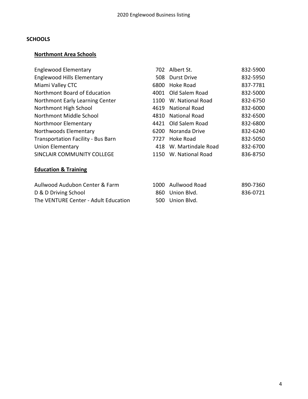## **SCHOOLS**

## **Northmont Area Schools**

| 832-5950 |
|----------|
| 837-7781 |
| 832-5000 |
| 832-6750 |
| 832-6000 |
| 832-6500 |
| 832-6800 |
| 832-6240 |
| 832-5050 |
| 832-6700 |
| 836-8750 |
|          |
|          |

## **Education & Training**

| Aullwood Audubon Center & Farm       | 1000 Aullwood Road | 890-7360 |
|--------------------------------------|--------------------|----------|
| D & D Driving School                 | 860 Union Blyd.    | 836-0721 |
| The VENTURE Center - Adult Education | 500 Union Blyd.    |          |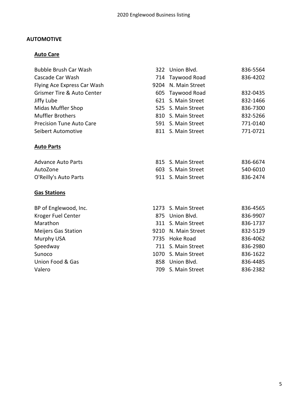## **AUTOMOTIVE**

## **Auto Care**

| 714 Taywood Road<br>9204 N. Main Street<br>605 Taywood Road<br>S. Main Street<br>621<br>525 S. Main Street<br>810 S. Main Street<br>591 S. Main Street<br>811 S. Main Street | 836-4202<br>832-0435<br>832-1466<br>836-7300<br>832-5266<br>771-0140<br>771-0721                                                                                                                                 |
|------------------------------------------------------------------------------------------------------------------------------------------------------------------------------|------------------------------------------------------------------------------------------------------------------------------------------------------------------------------------------------------------------|
|                                                                                                                                                                              |                                                                                                                                                                                                                  |
|                                                                                                                                                                              |                                                                                                                                                                                                                  |
|                                                                                                                                                                              |                                                                                                                                                                                                                  |
|                                                                                                                                                                              |                                                                                                                                                                                                                  |
|                                                                                                                                                                              |                                                                                                                                                                                                                  |
|                                                                                                                                                                              |                                                                                                                                                                                                                  |
|                                                                                                                                                                              |                                                                                                                                                                                                                  |
|                                                                                                                                                                              |                                                                                                                                                                                                                  |
|                                                                                                                                                                              |                                                                                                                                                                                                                  |
|                                                                                                                                                                              | 836-6674                                                                                                                                                                                                         |
|                                                                                                                                                                              | 540-6010                                                                                                                                                                                                         |
|                                                                                                                                                                              | 836-2474                                                                                                                                                                                                         |
|                                                                                                                                                                              |                                                                                                                                                                                                                  |
| S. Main Street                                                                                                                                                               | 836-4565                                                                                                                                                                                                         |
|                                                                                                                                                                              | 836-9907                                                                                                                                                                                                         |
|                                                                                                                                                                              | 836-1737                                                                                                                                                                                                         |
|                                                                                                                                                                              | 832-5129                                                                                                                                                                                                         |
|                                                                                                                                                                              | 836-4062                                                                                                                                                                                                         |
| S. Main Street                                                                                                                                                               | 836-2980                                                                                                                                                                                                         |
|                                                                                                                                                                              | 836-1622                                                                                                                                                                                                         |
|                                                                                                                                                                              | 836-4485                                                                                                                                                                                                         |
| S. Main Street                                                                                                                                                               | 836-2382                                                                                                                                                                                                         |
|                                                                                                                                                                              | 815 S. Main Street<br>603 S. Main Street<br>911 S. Main Street<br>1273<br>875 Union Blvd.<br>311 S. Main Street<br>9210 N. Main Street<br>7735 Hoke Road<br>711<br>1070 S. Main Street<br>858 Union Blvd.<br>709 |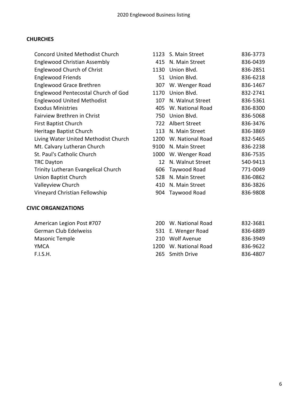### **CHURCHES**

| <b>Concord United Methodist Church</b> |      | 1123 S. Main Street | 836-3773 |
|----------------------------------------|------|---------------------|----------|
| Englewood Christian Assembly           | 415  | N. Main Street      | 836-0439 |
| <b>Englewood Church of Christ</b>      | 1130 | Union Blvd.         | 836-2851 |
| <b>Englewood Friends</b>               | 51   | Union Blvd.         | 836-6218 |
| <b>Englewood Grace Brethren</b>        | 307  | W. Wenger Road      | 836-1467 |
| Englewood Pentecostal Church of God    | 1170 | Union Blvd.         | 832-2741 |
| <b>Englewood United Methodist</b>      | 107  | N. Walnut Street    | 836-5361 |
| <b>Exodus Ministries</b>               | 405  | W. National Road    | 836-8300 |
| Fairview Brethren in Christ            | 750  | Union Blvd.         | 836-5068 |
| <b>First Baptist Church</b>            | 722  | Albert Street       | 836-3476 |
| Heritage Baptist Church                | 113  | N. Main Street      | 836-3869 |
| Living Water United Methodist Church   | 1200 | W. National Road    | 832-5465 |
| Mt. Calvary Lutheran Church            | 9100 | N. Main Street      | 836-2238 |
| St. Paul's Catholic Church             | 1000 | W. Wenger Road      | 836-7535 |
| <b>TRC Dayton</b>                      | 12   | N. Walnut Street    | 540-9413 |
| Trinity Lutheran Evangelical Church    | 606  | Taywood Road        | 771-0049 |
| <b>Union Baptist Church</b>            | 528  | N. Main Street      | 836-0862 |
| Valleyview Church                      | 410  | N. Main Street      | 836-3826 |
| Vineyard Christian Fellowship          | 904  | Taywood Road        | 836-9808 |
|                                        |      |                     |          |

## **CIVIC ORGANIZATIONS**

| American Legion Post #707 | 200 W. National Road  | 832-3681 |
|---------------------------|-----------------------|----------|
| German Club Edelweiss     | 531 E. Wenger Road    | 836-6889 |
| Masonic Temple            | 210 Wolf Avenue       | 836-3949 |
| YMCA                      | 1200 W. National Road | 836-9622 |
| F.I.S.H.                  | 265 Smith Drive       | 836-4807 |
|                           |                       |          |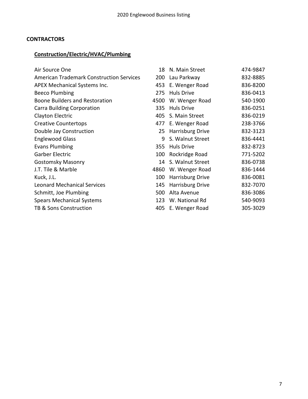## **CONTRACTORS**

## **Construction/Electric/HVAC/Plumbing**

| Air Source One                                  | 18   | N. Main Street    | 474-9847 |
|-------------------------------------------------|------|-------------------|----------|
| <b>American Trademark Construction Services</b> | 200  | Lau Parkway       | 832-8885 |
| APEX Mechanical Systems Inc.                    | 453  | E. Wenger Road    | 836-8200 |
| <b>Beeco Plumbing</b>                           | 275  | <b>Huls Drive</b> | 836-0413 |
| <b>Boone Builders and Restoration</b>           | 4500 | W. Wenger Road    | 540-1900 |
| <b>Carra Building Corporation</b>               | 335  | <b>Huls Drive</b> | 836-0251 |
| Clayton Electric                                | 405  | S. Main Street    | 836-0219 |
| <b>Creative Countertops</b>                     | 477  | E. Wenger Road    | 238-3766 |
| Double Jay Construction                         | 25   | Harrisburg Drive  | 832-3123 |
| <b>Englewood Glass</b>                          | 9    | S. Walnut Street  | 836-4441 |
| <b>Evans Plumbing</b>                           | 355  | <b>Huls Drive</b> | 832-8723 |
| Garber Electric                                 | 100  | Rockridge Road    | 771-5202 |
| <b>Gostomsky Masonry</b>                        | 14   | S. Walnut Street  | 836-0738 |
| J.T. Tile & Marble                              | 4860 | W. Wenger Road    | 836-1444 |
| Kuck, J.L.                                      | 100  | Harrisburg Drive  | 836-0081 |
| <b>Leonard Mechanical Services</b>              | 145  | Harrisburg Drive  | 832-7070 |
| Schmitt, Joe Plumbing                           | 500  | Alta Avenue       | 836-3086 |
| <b>Spears Mechanical Systems</b>                | 123  | W. National Rd    | 540-9093 |
| <b>TB &amp; Sons Construction</b>               | 405  | E. Wenger Road    | 305-3029 |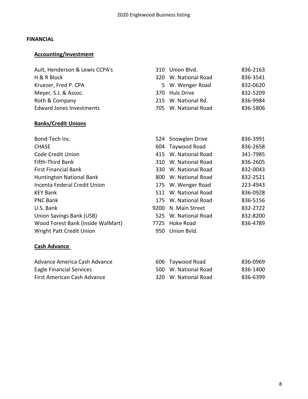#### **FINANCIAL**

## **Accounting/Investment**

| Ault, Henderson & Lewis CCPA's  | 310 Union Blvd.      | 836-2163 |
|---------------------------------|----------------------|----------|
| H & R Block                     | 320 W. National Road | 836-3541 |
| Kruezer, Fred P. CPA            | 5 W. Wenger Road     | 832-0620 |
| Meyer, S.J. & Assoc.            | 370 Huls Drive       | 832-5209 |
| Roth & Company                  | 215 W. National Rd.  | 836-9984 |
| <b>Edward Jones Investments</b> | 705 W. National Road | 836-5806 |

## **Banks/Credit Unions**

|     |                | 836-3991                                                                                                                                                                                                                                                                      |
|-----|----------------|-------------------------------------------------------------------------------------------------------------------------------------------------------------------------------------------------------------------------------------------------------------------------------|
|     |                | 836-2658                                                                                                                                                                                                                                                                      |
|     |                | 341-7985                                                                                                                                                                                                                                                                      |
|     |                | 836-2605                                                                                                                                                                                                                                                                      |
|     |                | 832-0043                                                                                                                                                                                                                                                                      |
|     |                | 832-2521                                                                                                                                                                                                                                                                      |
|     |                | 223-4943                                                                                                                                                                                                                                                                      |
|     |                | 836-0928                                                                                                                                                                                                                                                                      |
|     |                | 836-5156                                                                                                                                                                                                                                                                      |
|     | N. Main Street | 832-2722                                                                                                                                                                                                                                                                      |
|     |                | 832-8200                                                                                                                                                                                                                                                                      |
|     |                | 836-4789                                                                                                                                                                                                                                                                      |
| 950 |                |                                                                                                                                                                                                                                                                               |
|     |                | 524 Snowglen Drive<br>604 Taywood Road<br>415 W. National Road<br>310 W. National Road<br>330 W. National Road<br>800 W. National Road<br>175 W. Wenger Road<br>511 W. National Road<br>175 W. National Road<br>9200<br>525 W. National Road<br>7725 Hoke Road<br>Union Bvld. |

## **Cash Advance**

| Advance America Cash Advance | 606 Taywood Road     | 836-0969 |
|------------------------------|----------------------|----------|
| Eagle Financial Services     | 500 W. National Road | 836-1400 |
| First American Cash Advance  | 320 W. National Road | 836-6399 |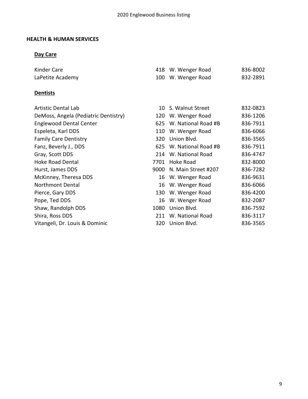## **HEALTH & HUMAN SERVICES**

## **Day Care**

| Kinder Care      | 418 W. Wenger Road | 836-8002 |
|------------------|--------------------|----------|
| LaPetite Academy | 100 W. Wenger Road | 832-2891 |

## **Dentists**

| <b>Artistic Dental Lab</b>           |      | 10 S. Walnut Street     | 832-0823 |
|--------------------------------------|------|-------------------------|----------|
| DeMoss, Angela (Pediatric Dentistry) | 120  | W. Wenger Road          | 836-1206 |
| <b>Englewood Dental Center</b>       | 625  | W. National Road #B     | 836-7911 |
| Espeleta, Karl DDS                   | 110  | W. Wenger Road          | 836-6066 |
| <b>Family Care Dentistry</b>         | 320  | Union Blvd.             | 836-3565 |
| Fanz, Beverly J., DDS                |      | 625 W. National Road #B | 836-7911 |
| Gray, Scott DDS                      | 214  | W. National Road        | 836-4747 |
| <b>Hoke Road Dental</b>              | 7701 | Hoke Road               | 832-8000 |
| Hurst, James DDS                     | 9000 | N. Main Street #207     | 836-7282 |
| McKinney, Theresa DDS                |      | 16 W. Wenger Road       | 836-9631 |
| Northmont Dental                     |      | 16 W. Wenger Road       | 836-6066 |
| Pierce, Gary DDS                     | 130  | W. Wenger Road          | 836-4200 |
| Pope, Ted DDS                        | 16   | W. Wenger Road          | 832-2087 |
| Shaw, Randolph DDS                   | 1080 | Union Blvd.             | 836-7592 |
| Shira, Ross DDS                      | 211  | W. National Road        | 836-3117 |
| Vitangeli, Dr. Louis & Dominic       | 320. | Union Blvd.             | 836-3565 |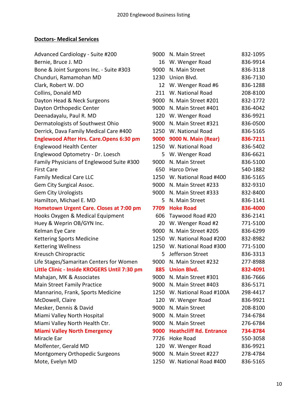## **Doctors- Medical Services**

| Advanced Cardiology - Suite #200                | 9000 | N. Main Street                 | 832-1095 |
|-------------------------------------------------|------|--------------------------------|----------|
| Bernie, Bruce J. MD                             | 16   | W. Wenger Road                 | 836-9914 |
| Bone & Joint Surgeons Inc. - Suite #303         | 9000 | N. Main Street                 | 836-3118 |
| Chunduri, Ramamohan MD                          | 1230 | Union Blvd.                    | 836-7130 |
| Clark, Robert W. DO                             | 12   | W. Wenger Road #6              | 836-1288 |
| Collins, Donald MD                              | 211  | W. National Road               | 208-8100 |
| Dayton Head & Neck Surgeons                     | 9000 | N. Main Street #201            | 832-1772 |
| Dayton Orthopedic Center                        | 9000 | N. Main Street #401            | 836-4042 |
| Deenadayalu, Paul R. MD                         | 120  | W. Wenger Road                 | 836-9921 |
| Dermatologists of Southwest Ohio                | 9000 | N. Main Street #321            | 836-0500 |
| Derrick, Dava Family Medical Care #400          | 1250 | W. National Road               | 836-5165 |
| <b>Englewood After Hrs. Care. Opens 6:30 pm</b> | 9000 | 9000 N. Main (Rear)            | 836-7211 |
| <b>Englewood Health Center</b>                  | 1250 | W. National Road               | 836-5402 |
| Englewood Optometry - Dr. Loesch                | 5    | W. Wenger Road                 | 836-6621 |
| Family Physicians of Englewood Suite #300       | 9000 | N. Main Street                 | 836-5100 |
| <b>First Care</b>                               | 650  | <b>Harco Drive</b>             | 540-1882 |
| <b>Family Medical Care LLC</b>                  | 1250 | W. National Road #400          | 836-5165 |
| Gem City Surgical Assoc.                        | 9000 | N. Main Street #233            | 832-9310 |
| <b>Gem City Urologists</b>                      | 9000 | N. Main Street #333            | 832-8400 |
| Hamilton, Michael E. MD                         | 5    | N. Main Street                 | 836-1141 |
| <b>Hometown Urgent Care. Closes at 7:00 pm</b>  | 7709 | <b>Hoke Road</b>               | 836-4000 |
| Hooks Oxygen & Medical Equipment                | 606  | Taywood Road #20               | 836-2141 |
| Huey & Weprin OB/GYN Inc.                       | 20   | W. Wenger Road #2              | 771-5100 |
| Kelman Eye Care                                 | 9000 | N. Main Street #205            | 836-6299 |
| <b>Kettering Sports Medicine</b>                | 1250 | W. National Road #200          | 832-8982 |
| <b>Kettering Wellness</b>                       | 1250 | W. National Road #300          | 771-5100 |
| Kreusch Chiropractic                            | 5    | Jefferson Street               | 836-3313 |
| Life Stages/Samaritan Centers for Women         | 9000 | N. Main Street #232            | 277-8988 |
| Little Clinic - Inside KROGERS Until 7:30 pm    |      | 885 Union Blvd.                | 832-4091 |
| Mahajan, MK & Associates                        | 9000 | N. Main Street #301            | 836-7666 |
| Main Street Family Practice                     | 9000 | N. Main Street #403            | 836-5171 |
| Mannarino, Frank, Sports Medicine               |      | 1250 W. National Road #100A    | 298-4417 |
| McDowell, Claire                                |      | 120 W. Wenger Road             | 836-9921 |
| Mesker, Dennis & David                          | 9000 | N. Main Street                 | 208-8100 |
| Miami Valley North Hospital                     | 9000 | N. Main Street                 | 734-6784 |
| Miami Valley North Health Ctr.                  | 9000 | N. Main Street                 | 276-6784 |
| <b>Miami Valley North Emergency</b>             | 9000 | <b>Heathcliff Rd. Entrance</b> | 734-8784 |
| Miracle Ear                                     | 7726 | Hoke Road                      | 550-3058 |
| Molfenter, Gerald MD                            |      | 120 W. Wenger Road             | 836-9921 |
| Montgomery Orthopedic Surgeons                  | 9000 | N. Main Street #227            | 278-4784 |
| Mote, Evelyn MD                                 | 1250 | W. National Road #400          | 836-5165 |
|                                                 |      |                                |          |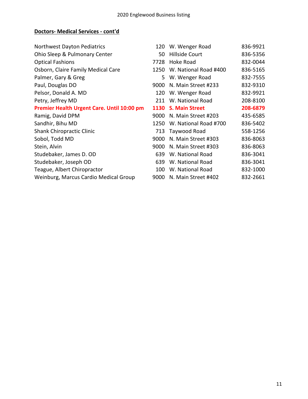## **Doctors- Medical Services - cont'd**

| Northwest Dayton Pediatrics                | 120  | W. Wenger Road        | 836-9921 |
|--------------------------------------------|------|-----------------------|----------|
| Ohio Sleep & Pulmonary Center              | 50   | <b>Hillside Court</b> | 836-5356 |
| <b>Optical Fashions</b>                    | 7728 | Hoke Road             | 832-0044 |
| Osborn, Claire Family Medical Care         | 1250 | W. National Road #400 | 836-5165 |
| Palmer, Gary & Greg                        | 5.   | W. Wenger Road        | 832-7555 |
| Paul, Douglas DO                           | 9000 | N. Main Street #233   | 832-9310 |
| Pelsor, Donald A. MD                       | 120  | W. Wenger Road        | 832-9921 |
| Petry, Jeffrey MD                          | 211  | W. National Road      | 208-8100 |
| Premier Health Urgent Care. Until 10:00 pm | 1130 | <b>S. Main Street</b> | 208-6879 |
| Ramig, David DPM                           | 9000 | N. Main Street #203   | 435-6585 |
| Sandhir, Bihu MD                           | 1250 | W. National Road #700 | 836-5402 |
| <b>Shank Chiropractic Clinic</b>           | 713  | Taywood Road          | 558-1256 |
| Sobol, Todd MD                             | 9000 | N. Main Street #303   | 836-8063 |
| Stein, Alvin                               | 9000 | N. Main Street #303   | 836-8063 |
| Studebaker, James D. OD                    | 639  | W. National Road      | 836-3041 |
| Studebaker, Joseph OD                      | 639  | W. National Road      | 836-3041 |
| Teague, Albert Chiropractor                | 100  | W. National Road      | 832-1000 |
| Weinburg, Marcus Cardio Medical Group      | 9000 | N. Main Street #402   | 832-2661 |
|                                            |      |                       |          |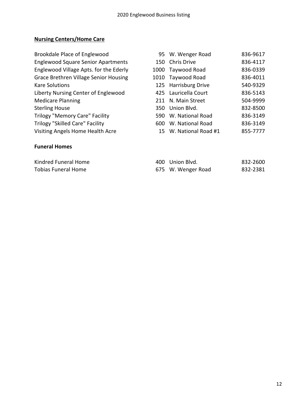## **Nursing Centers/Home Care**

| Brookdale Place of Englewood                 |     | 95 W. Wenger Road    | 836-9617 |
|----------------------------------------------|-----|----------------------|----------|
| <b>Englewood Square Senior Apartments</b>    |     | 150 Chris Drive      | 836-4117 |
| Englewood Village Apts. for the Ederly       |     | 1000 Taywood Road    | 836-0339 |
| <b>Grace Brethren Village Senior Housing</b> |     | 1010 Taywood Road    | 836-4011 |
| <b>Kare Solutions</b>                        |     | 125 Harrisburg Drive | 540-9329 |
| Liberty Nursing Center of Englewood          |     | 425 Lauricella Court | 836-5143 |
| <b>Medicare Planning</b>                     | 211 | N. Main Street       | 504-9999 |
| <b>Sterling House</b>                        |     | 350 Union Blyd.      | 832-8500 |
| <b>Trilogy "Memory Care" Facility</b>        | 590 | W. National Road     | 836-3149 |
| <b>Trilogy "Skilled Care" Facility</b>       | 600 | W. National Road     | 836-3149 |
| Visiting Angels Home Health Acre             | 15  | W. National Road #1  | 855-7777 |

## **Funeral Homes**

| Kindred Funeral Home | 400 Union Blvd.    | 832-2600 |
|----------------------|--------------------|----------|
| Tobias Funeral Home  | 675 W. Wenger Road | 832-2381 |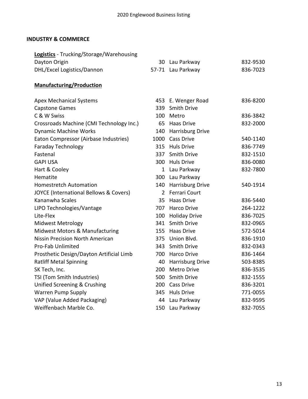## **INDUSTRY & COMMERCE**

| <b>Logistics</b> - Trucking/Storage/Warehousing<br>Dayton Origin |                | 30 Lau Parkway          | 832-9530 |
|------------------------------------------------------------------|----------------|-------------------------|----------|
| DHL/Excel Logistics/Dannon                                       |                | 57-71 Lau Parkway       | 836-7023 |
|                                                                  |                |                         |          |
| <b>Manufacturing/Production</b>                                  |                |                         |          |
| <b>Apex Mechanical Systems</b>                                   |                | 453 E. Wenger Road      | 836-8200 |
| <b>Capstone Games</b>                                            | 339            | <b>Smith Drive</b>      |          |
| C & W Swiss                                                      | 100            | Metro                   | 836-3842 |
| Crossroads Machine (CMI Technology Inc.)                         | 65             | Haas Drive              | 832-2000 |
| <b>Dynamic Machine Works</b>                                     | 140            | Harrisburg Drive        |          |
| Eaton Compressor (Airbase Industries)                            | 1000           | <b>Cass Drive</b>       | 540-1140 |
| <b>Faraday Technology</b>                                        | 315            | <b>Huls Drive</b>       | 836-7749 |
| Fastenal                                                         | 337            | Smith Drive             | 832-1510 |
| <b>GAPI USA</b>                                                  | 300            | <b>Huls Drive</b>       | 836-0080 |
| Hart & Cooley                                                    | 1              | Lau Parkway             | 832-7800 |
| Hematite                                                         |                | 300 Lau Parkway         |          |
| <b>Homestretch Automation</b>                                    | 140            | <b>Harrisburg Drive</b> | 540-1914 |
| JOYCE (International Bellows & Covers)                           | $\overline{2}$ | <b>Ferrari Court</b>    |          |
| Kananwha Scales                                                  | 35             | <b>Haas Drive</b>       | 836-5440 |
| LIPO Technologies/Vantage                                        | 707            | <b>Harco Drive</b>      | 264-1222 |
| Lite-Flex                                                        | 100            | <b>Holiday Drive</b>    | 836-7025 |
| <b>Midwest Metrology</b>                                         | 341            | Smith Drive             | 832-0965 |
| Midwest Motors & Manufacturing                                   | 155            | Haas Drive              | 572-5014 |
| <b>Nissin Precision North American</b>                           | 375            | Union Blvd.             | 836-1910 |
| <b>Pro-Fab Unlimited</b>                                         | 343            | Smith Drive             | 832-0343 |
| Prosthetic Design/Dayton Artificial Limb                         | 700            | Harco Drive             | 836-1464 |
| <b>Ratliff Metal Spinning</b>                                    | 40             | Harrisburg Drive        | 503-8385 |
| SK Tech, Inc.                                                    | 200            | <b>Metro Drive</b>      | 836-3535 |
| TSI (Tom Smith Industries)                                       | 500            | Smith Drive             | 832-1555 |
| Unified Screening & Crushing                                     | 200            | Cass Drive              | 836-3201 |
| <b>Warren Pump Supply</b>                                        | 345            | <b>Huls Drive</b>       | 771-0055 |
| VAP (Value Added Packaging)                                      | 44             | Lau Parkway             | 832-9595 |
| Weiffenbach Marble Co.                                           | 150            | Lau Parkway             | 832-7055 |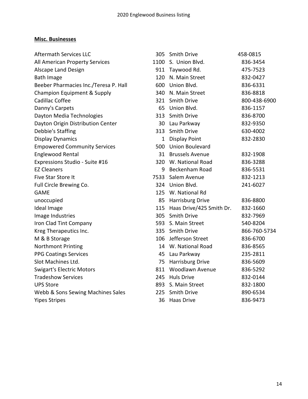## **Misc. Businesses**

| <b>Aftermath Services LLC</b>         |              | 305 Smith Drive          | 458-0815     |
|---------------------------------------|--------------|--------------------------|--------------|
| All American Property Services        |              | 1100 S. Union Blvd.      | 836-3454     |
| Alscape Land Design                   |              | 911 Taywood Rd.          | 475-7523     |
| <b>Bath Image</b>                     |              | 120 N. Main Street       | 832-0427     |
| Beeber Pharmacies Inc./Teresa P. Hall | 600          | Union Blvd.              | 836-6331     |
| Champion Equipment & Supply           |              | 340 N. Main Street       | 836-8818     |
| Cadillac Coffee                       |              | 321 Smith Drive          | 800-438-6900 |
| Danny's Carpets                       | 65           | Union Blvd.              | 836-1157     |
| Dayton Media Technologies             | 313          | <b>Smith Drive</b>       | 836-8700     |
| Dayton Origin Distribution Center     |              | 30 Lau Parkway           | 832-9350     |
| Debbie's Staffing                     | 313          | <b>Smith Drive</b>       | 630-4002     |
| <b>Display Dynamics</b>               | $\mathbf{1}$ | <b>Display Point</b>     | 832-2830     |
| <b>Empowered Community Services</b>   | 500          | Union Boulevard          |              |
| <b>Englewood Rental</b>               |              | 31 Brussels Avenue       | 832-1908     |
| Expressions Studio - Suite #16        |              | 320 W. National Road     | 836-3288     |
| <b>EZ Cleaners</b>                    | 9            | Beckenham Road           | 836-5531     |
| Five Star Store It                    | 7533         | Salem Avenue             | 832-1213     |
| Full Circle Brewing Co.               |              | 324 Union Blvd.          | 241-6027     |
| <b>GAME</b>                           |              | 125 W. National Rd       |              |
| unoccupied                            |              | 85 Harrisburg Drive      | 836-8800     |
| Ideal Image                           | 115          | Haas Drive/425 Smith Dr. | 832-1660     |
| Image Industries                      |              | 305 Smith Drive          | 832-7969     |
| Iron Clad Tint Company                |              | 593 S. Main Street       | 540-8204     |
| Kreg Therapeutics Inc.                |              | 335 Smith Drive          | 866-760-5734 |
| M & B Storage                         | 106          | Jefferson Street         | 836-6700     |
| <b>Northmont Printing</b>             |              | 14 W. National Road      | 836-8565     |
| <b>PPG Coatings Services</b>          |              | 45 Lau Parkway           | 235-2811     |
| Slot Machines Ltd.                    | 75           | <b>Harrisburg Drive</b>  | 836-5609     |
| <b>Swigart's Electric Motors</b>      | 811          | Woodlawn Avenue          | 836-5292     |
| <b>Tradeshow Services</b>             |              | 245 Huls Drive           | 832-0144     |
| <b>UPS Store</b>                      |              | 893 S. Main Street       | 832-1800     |
| Webb & Sons Sewing Machines Sales     | 225          | <b>Smith Drive</b>       | 890-6534     |
| <b>Yipes Stripes</b>                  | 36           | <b>Haas Drive</b>        | 836-9473     |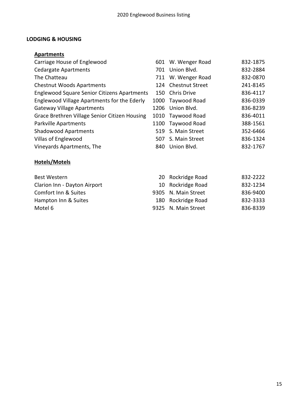## **LODGING & HOUSING**

## **Apartments**

| Carriage House of Englewood                        |     | 601 W. Wenger Road  | 832-1875 |
|----------------------------------------------------|-----|---------------------|----------|
| <b>Cedargate Apartments</b>                        |     | 701 Union Blvd.     | 832-2884 |
| The Chatteau                                       |     | 711 W. Wenger Road  | 832-0870 |
| <b>Chestnut Woods Apartments</b>                   |     | 124 Chestnut Street | 241-8145 |
| <b>Englewood Square Senior Citizens Apartments</b> | 150 | Chris Drive         | 836-4117 |
| Englewood Village Apartments for the Ederly        |     | 1000 Taywood Road   | 836-0339 |
| <b>Gateway Village Apartments</b>                  |     | 1206 Union Blvd.    | 836-8239 |
| Grace Brethren Village Senior Citizen Housing      |     | 1010 Taywood Road   | 836-4011 |
| Parkville Apartments                               |     | 1100 Taywood Road   | 388-1561 |
| <b>Shadowood Apartments</b>                        |     | 519 S. Main Street  | 352-6466 |
| Villas of Englewood                                | 507 | S. Main Street      | 836-1324 |
| Vineyards Apartments, The                          | 840 | Union Blvd.         | 832-1767 |

## **Hotels/Motels**

| Best Western                 | 20 Rockridge Road   | 832-2222 |
|------------------------------|---------------------|----------|
| Clarion Inn - Dayton Airport | 10 Rockridge Road   | 832-1234 |
| Comfort Inn & Suites         | 9305 N. Main Street | 836-9400 |
| Hampton Inn & Suites         | 180 Rockridge Road  | 832-3333 |
| Motel 6                      | 9325 N. Main Street | 836-8339 |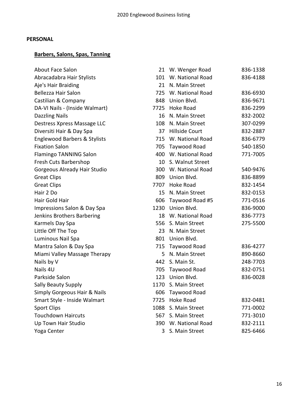## **PERSONAL**

## **Barbers, Salons, Spas, Tanning**

| <b>About Face Salon</b>                 |      | 21 W. Wenger Road     | 836-1338 |
|-----------------------------------------|------|-----------------------|----------|
| Abracadabra Hair Stylists               | 101  | W. National Road      | 836-4188 |
| Aje's Hair Braiding                     | 21   | N. Main Street        |          |
| Bellezza Hair Salon                     |      | 725 W. National Road  | 836-6930 |
| Castilian & Company                     |      | 848 Union Blvd.       | 836-9671 |
| DA-VI Nails - (Inside Walmart)          |      | 7725 Hoke Road        | 836-2299 |
| <b>Dazzling Nails</b>                   | 16   | N. Main Street        | 832-2002 |
| Destress Xpress Massage LLC             | 108  | N. Main Street        | 307-0299 |
| Diversiti Hair & Day Spa                | 37   | <b>Hillside Court</b> | 832-2887 |
| <b>Englewood Barbers &amp; Stylists</b> | 715  | W. National Road      | 836-6779 |
| <b>Fixation Salon</b>                   | 705  | Taywood Road          | 540-1850 |
| Flamingo TANNING Salon                  |      | 400 W. National Road  | 771-7005 |
| Fresh Cuts Barbershop                   | 10   | S. Walnut Street      |          |
| Gorgeous Already Hair Studio            |      | 300 W. National Road  | 540-9476 |
| <b>Great Clips</b>                      | 809  | Union Blvd.           | 836-8899 |
| <b>Great Clips</b>                      |      | 7707 Hoke Road        | 832-1454 |
| Hair 2 Do                               | 15   | N. Main Street        | 832-0153 |
| Hair Gold Hair                          | 606  | Taywood Road #5       | 771-0516 |
| Impressions Salon & Day Spa             |      | 1230 Union Blvd.      | 836-9000 |
| Jenkins Brothers Barbering              |      | 18 W. National Road   | 836-7773 |
| Karmels Day Spa                         | 556  | S. Main Street        | 275-5500 |
| Little Off The Top                      | 23   | N. Main Street        |          |
| Luminous Nail Spa                       |      | 801 Union Blvd.       |          |
| Mantra Salon & Day Spa                  | 715  | Taywood Road          | 836-4277 |
| Miami Valley Massage Therapy            | 5.   | N. Main Street        | 890-8660 |
| Nails by V                              | 442  | S. Main St.           | 248-7703 |
| Nails 4U                                | 705  | Taywood Road          | 832-0751 |
| Parkside Salon                          | 123  | Union Blvd.           | 836-0028 |
| Sally Beauty Supply                     |      | 1170 S. Main Street   |          |
| Simply Gorgeous Hair & Nails            |      | 606 Taywood Road      |          |
| Smart Style - Inside Walmart            | 7725 | <b>Hoke Road</b>      | 832-0481 |
| <b>Sport Clips</b>                      | 1088 | S. Main Street        | 771-0002 |
| <b>Touchdown Haircuts</b>               | 567  | S. Main Street        | 771-3010 |
| Up Town Hair Studio                     |      | 390 W. National Road  | 832-2111 |
| Yoga Center                             | 3    | S. Main Street        | 825-6466 |
|                                         |      |                       |          |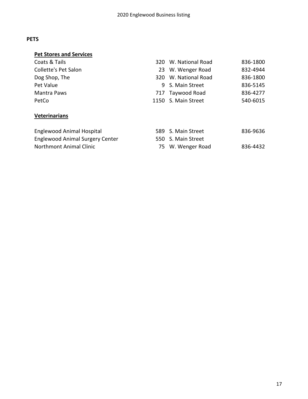## **PETS**

| <b>Pet Stores and Services</b>         |     |                      |          |
|----------------------------------------|-----|----------------------|----------|
| Coats & Tails                          |     | 320 W. National Road | 836-1800 |
| Collette's Pet Salon                   |     | 23 W. Wenger Road    | 832-4944 |
| Dog Shop, The                          | 320 | W. National Road     | 836-1800 |
| Pet Value                              |     | 9 S. Main Street     | 836-5145 |
| Mantra Paws                            | 717 | Taywood Road         | 836-4277 |
| PetCo                                  |     | 1150 S. Main Street  | 540-6015 |
| <b>Veterinarians</b>                   |     |                      |          |
| <b>Englewood Animal Hospital</b>       |     | 589 S. Main Street   | 836-9636 |
| <b>Englewood Animal Surgery Center</b> |     | 550 S. Main Street   |          |
| <b>Northmont Animal Clinic</b>         | 75  | W. Wenger Road       | 836-4432 |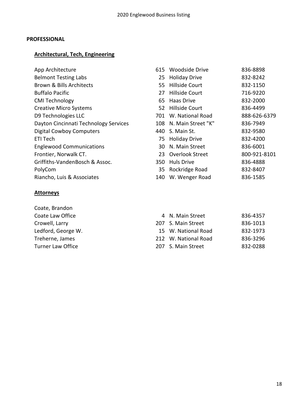### **PROFESSIONAL**

## **Architectural, Tech, Engineering**

| App Architecture |  |
|------------------|--|
|                  |  |

- Belmont Testing Labs Brown & Bills Architects
- **Buffalo Pacific**
- CMI Technology
- Creative Micro Systems
- D9 Technologies LLC
- Dayton Cincinnati Technology Services
- Digital Cowboy Computers
- 
- Englewood Communications
- Frontier, Norwalk CT.
- Griffiths-VandenBosch & Assoc.
- 
- Riancho, Luis & Associates

## **Attorneys**

Coate, Brandon Coate Law Office Crowell, Larry Ledford, George W. Treherne, James Turner Law Office

| App Architecture                      |     | 615 Woodside Drive     | 836-8898     |
|---------------------------------------|-----|------------------------|--------------|
| <b>Belmont Testing Labs</b>           |     | 25 Holiday Drive       | 832-8242     |
| Brown & Bills Architects              |     | 55 Hillside Court      | 832-1150     |
| <b>Buffalo Pacific</b>                | 27  | Hillside Court         | 716-9220     |
| <b>CMI Technology</b>                 |     | 65 Haas Drive          | 832-2000     |
| <b>Creative Micro Systems</b>         |     | 52 Hillside Court      | 836-4499     |
| D9 Technologies LLC                   |     | 701 W. National Road   | 888-626-6379 |
| Dayton Cincinnati Technology Services |     | 108 N. Main Street "K" | 836-7949     |
| Digital Cowboy Computers              | 440 | S. Main St.            | 832-9580     |
| ETI Tech                              |     | 75 Holiday Drive       | 832-4200     |
| <b>Englewood Communications</b>       | 30  | N. Main Street         | 836-6001     |
| Frontier, Norwalk CT.                 |     | 23 Overlook Street     | 800-921-8101 |
| Griffiths-VandenBosch & Assoc.        | 350 | <b>Huls Drive</b>      | 836-4888     |
| PolyCom                               |     | 35 Rockridge Road      | 832-8407     |
| Riancho, Luis & Associates            | 140 | W. Wenger Road         | 836-1585     |

| 836-4357                                                                                                    |
|-------------------------------------------------------------------------------------------------------------|
| 836-1013                                                                                                    |
| 832-1973                                                                                                    |
| 836-3296                                                                                                    |
| 832-0288                                                                                                    |
| 4 N. Main Street<br>207 S. Main Street<br>15 W. National Road<br>212 W. National Road<br>207 S. Main Street |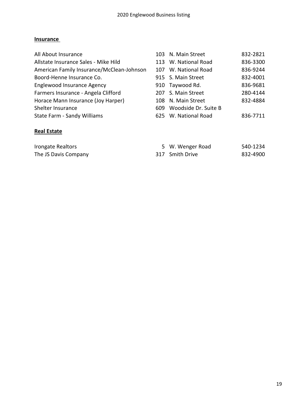## **Insurance**

| All About Insurance                       | 103 N. Main Street       | 832-2821 |
|-------------------------------------------|--------------------------|----------|
| Allstate Insurance Sales - Mike Hild      | 113 W. National Road     | 836-3300 |
| American Family Insurance/McClean-Johnson | 107 W. National Road     | 836-9244 |
| Boord-Henne Insurance Co.                 | 915 S. Main Street       | 832-4001 |
| Englewood Insurance Agency                | 910 Taywood Rd.          | 836-9681 |
| Farmers Insurance - Angela Clifford       | 207 S. Main Street       | 280-4144 |
| Horace Mann Insurance (Joy Harper)        | 108 N. Main Street       | 832-4884 |
| Shelter Insurance                         | 609 Woodside Dr. Suite B |          |
| State Farm - Sandy Williams               | 625 W. National Road     | 836-7711 |
|                                           |                          |          |

## **Real Estate**

| Irongate Realtors    | 5 W. Wenger Road | 540-1234 |
|----------------------|------------------|----------|
| The JS Davis Company | 317 Smith Drive  | 832-4900 |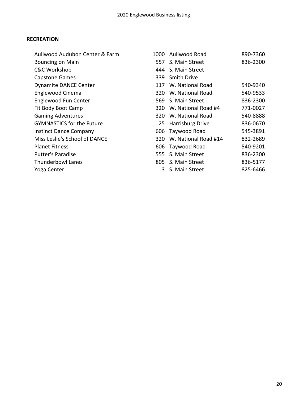## **RECREATION**

| Aullwood Audubon Center & Farm   |     | 1000 Aullwood Road   | 890-7360 |
|----------------------------------|-----|----------------------|----------|
| <b>Bouncing on Main</b>          |     | 557 S. Main Street   | 836-2300 |
| <b>C&amp;C Workshop</b>          |     | 444 S. Main Street   |          |
| <b>Capstone Games</b>            |     | 339 Smith Drive      |          |
| <b>Dynamite DANCE Center</b>     | 117 | W. National Road     | 540-9340 |
| Englewood Cinema                 |     | 320 W. National Road | 540-9533 |
| <b>Englewood Fun Center</b>      |     | 569 S. Main Street   | 836-2300 |
| Fit Body Boot Camp               | 320 | W. National Road #4  | 771-0027 |
| <b>Gaming Adventures</b>         |     | 320 W. National Road | 540-8888 |
| <b>GYMNASTICS for the Future</b> |     | 25 Harrisburg Drive  | 836-0670 |
| <b>Instinct Dance Company</b>    |     | 606 Taywood Road     | 545-3891 |
| Miss Leslie's School of DANCE    | 320 | W. National Road #14 | 832-2689 |
| <b>Planet Fitness</b>            |     | 606 Taywood Road     | 540-9201 |
| <b>Putter's Paradise</b>         | 555 | S. Main Street       | 836-2300 |
| <b>Thunderbowl Lanes</b>         |     | 805 S. Main Street   | 836-5177 |
| Yoga Center                      |     | 3 S. Main Street     | 825-6466 |
|                                  |     |                      |          |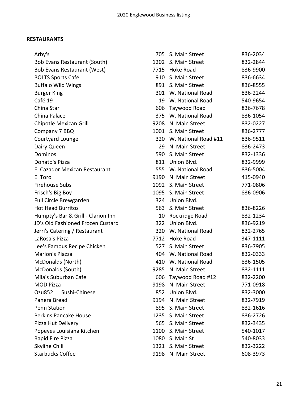## **RESTAURANTS**

| Arby's                             | 705  | S. Main Street           | 836-2034 |
|------------------------------------|------|--------------------------|----------|
| Bob Evans Restaurant (South)       |      | 1202 S. Main Street      | 832-2844 |
| Bob Evans Restaurant (West)        |      | 7715 Hoke Road           | 836-9900 |
| <b>BOLTS Sports Café</b>           | 910  | S. Main Street           | 836-6634 |
| <b>Buffalo Wild Wings</b>          |      | 891 S. Main Street       | 836-8555 |
| <b>Burger King</b>                 |      | 301 W. National Road     | 836-2244 |
| Café 19                            | 19   | W. National Road         | 540-9654 |
| China Star                         | 606  | Taywood Road             | 836-7678 |
| China Palace                       |      | 375 W. National Road     | 836-1054 |
| Chipotle Mexican Grill             |      | 9208 N. Main Street      | 832-0227 |
| Company 7 BBQ                      |      | 1001 S. Main Street      | 836-2777 |
| Courtyard Lounge                   |      | 320 W. National Road #11 | 836-9511 |
| Dairy Queen                        | 29   | N. Main Street           | 836-2473 |
| Dominos                            | 590  | S. Main Street           | 832-1336 |
| Donato's Pizza                     |      | 811 Union Blvd.          | 832-9999 |
| El Cazador Mexican Restaurant      |      | 555 W. National Road     | 836-5004 |
| El Toro                            | 9190 | N. Main Street           | 415-0940 |
| <b>Firehouse Subs</b>              |      | 1092 S. Main Street      | 771-0806 |
| Frisch's Big Boy                   |      | 1095 S. Main Street      | 836-0906 |
| Full Circle Brewgarden             |      | 324 Union Blvd.          |          |
| <b>Hot Head Burritos</b>           | 563  | S. Main Street           | 836-8226 |
| Humpty's Bar & Grill - Clarion Inn | 10   | Rockridge Road           | 832-1234 |
| JD's Old Fashioned Frozen Custard  | 322  | Union Blvd.              | 836-9219 |
| Jerri's Catering / Restaurant      | 320  | W. National Road         | 832-2765 |
| LaRosa's Pizza                     | 7712 | Hoke Road                | 347-1111 |
| Lee's Famous Recipe Chicken        | 527  | S. Main Street           | 836-7905 |
| Marion's Piazza                    |      | 404 W. National Road     | 832-0333 |
| McDonalds (North)                  | 410  | W. National Road         | 836-1505 |
| McDonalds (South)                  | 9285 | N. Main Street           | 832-1111 |
| Mila's Suburban Café               |      | 606 Taywood Road #12     | 832-2200 |
| <b>MOD Pizza</b>                   |      | 9198 N. Main Street      | 771-0918 |
| Sushi-Chinese<br>Ozu852            |      | 852 Union Blvd.          | 832-3000 |
| Panera Bread                       |      | 9194 N. Main Street      | 832-7919 |
| <b>Penn Station</b>                |      | 895 S. Main Street       | 832-1616 |
| Perkins Pancake House              |      | 1235 S. Main Street      | 836-2726 |
| Pizza Hut Delivery                 |      | 565 S. Main Street       | 832-3435 |
| Popeyes Louisiana Kitchen          |      | 1100 S. Main Street      | 540-1017 |
| Rapid Fire Pizza                   |      | 1080 S. Main St          | 540-8033 |
| Skyline Chili                      |      | 1321 S. Main Street      | 832-3222 |
| <b>Starbucks Coffee</b>            |      | 9198 N. Main Street      | 608-3973 |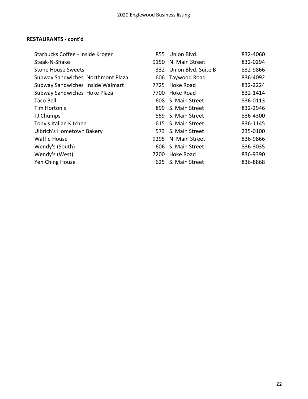## **RESTAURANTS - cont'd**

| Starbucks Coffee - Inside Kroger  | 855  | Union Blyd.         | 832-4060 |
|-----------------------------------|------|---------------------|----------|
| Steak-N-Shake                     | 9150 | N. Main Street      | 832-0294 |
| <b>Stone House Sweets</b>         | 332  | Union Blvd. Suite B | 832-9866 |
| Subway Sandwiches Northmont Plaza |      | 606 Taywood Road    | 836-4092 |
| Subway Sandwiches Inside Walmart  | 7725 | Hoke Road           | 832-2224 |
| Subway Sandwiches Hoke Plaza      | 7700 | Hoke Road           | 832-1414 |
| <b>Taco Bell</b>                  |      | 608 S. Main Street  | 836-0113 |
| Tim Horton's                      |      | 899 S. Main Street  | 832-2946 |
| TJ Chumps                         |      | 559 S. Main Street  | 836-4300 |
| Tony's Italian Kitchen            |      | 615 S. Main Street  | 836-1145 |
| <b>Ulbrich's Hometown Bakery</b>  |      | 573 S. Main Street  | 235-0100 |
| <b>Waffle House</b>               | 9295 | N. Main Street      | 836-9866 |
| Wendy's (South)                   |      | 606 S. Main Street  | 836-3035 |
| Wendy's (West)                    | 7200 | Hoke Road           | 836-9390 |
| Yen Ching House                   |      | 625 S. Main Street  | 836-8868 |
|                                   |      |                     |          |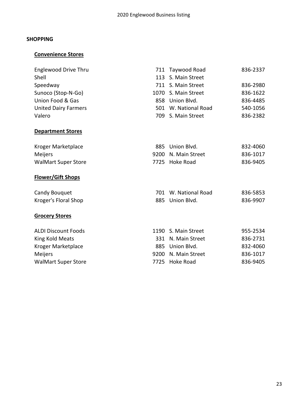## **SHOPPING**

## **Convenience Stores**

| <b>Englewood Drive Thru</b> |      | 711 Taywood Road     | 836-2337 |
|-----------------------------|------|----------------------|----------|
| Shell                       | 113  | S. Main Street       |          |
| Speedway                    |      | 711 S. Main Street   | 836-2980 |
| Sunoco (Stop-N-Go)          | 1070 | S. Main Street       | 836-1622 |
| Union Food & Gas            |      | 858 Union Blvd.      | 836-4485 |
| <b>United Dairy Farmers</b> |      | 501 W. National Road | 540-1056 |
| Valero                      | 709  | S. Main Street       | 836-2382 |
| <b>Department Stores</b>    |      |                      |          |
| Kroger Marketplace          | 885  | Union Blvd.          | 832-4060 |
| Meijers                     | 9200 | N. Main Street       | 836-1017 |
| <b>WalMart Super Store</b>  |      | 7725 Hoke Road       | 836-9405 |
|                             |      |                      |          |
| <b>Flower/Gift Shops</b>    |      |                      |          |
| Candy Bouquet               |      | 701 W. National Road | 836-5853 |
| Kroger's Floral Shop        |      | 885 Union Blvd.      | 836-9907 |
| <b>Grocery Stores</b>       |      |                      |          |
| <b>ALDI Discount Foods</b>  |      | 1190 S. Main Street  | 955-2534 |
| King Kold Meats             | 331  | N. Main Street       | 836-2731 |
| Kroger Marketplace          |      | 885 Union Blvd.      | 832-4060 |
| Meijers                     | 9200 | N. Main Street       | 836-1017 |